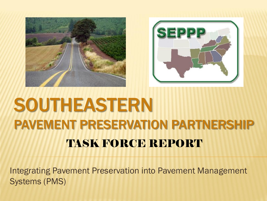



## SOUTHEASTERN PAVEMENT PRESERVATION PARTNERSHIP TASK FORCE REPORT

Integrating Pavement Preservation into Pavement Management Systems (PMS)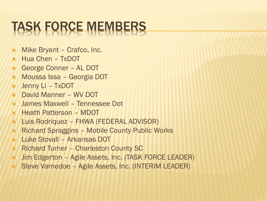# TASK FORCE MEMBERS

- **\*** Mike Bryant Crafco, Inc.
- $\times$  Hua Chen TxDOT
- George Conner AL DOT
- Moussa Issa Georgia DOT
- Jenny Li TxDOT
- David Manner WV DOT
- James Maxwell Tennessee Dot
- **\*** Heath Patterson MDOT
- Luis Rodriquez FHWA (FEDERAL ADVISOR)
- **\*** Richard Spraggins Mobile County Public Works
- Luke Stovall Arkansas DOT
- **\*** Richard Turner Charleston County SC
- Jim Edgerton Agile Assets, Inc. (TASK FORCE LEADER)
- Steve Varnedoe Agile Assets, Inc. (INTERIM LEADER)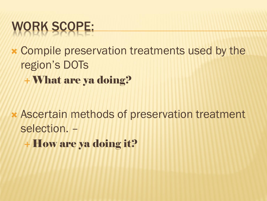## WORK SCOPE:

 Compile preservation treatments used by the region's DOTs What are ya doing?

 Ascertain methods of preservation treatment selection. –

+ How are ya doing it?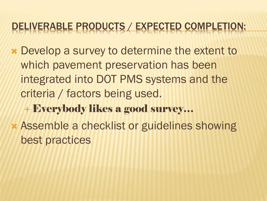#### DELIVERABLE PRODUCTS / EXPECTED COMPLETION:

- Develop a survey to determine the extent to which pavement preservation has been integrated into DOT PMS systems and the criteria / factors being used.
	- Everybody likes a good survey…
- Assemble a checklist or guidelines showing best practices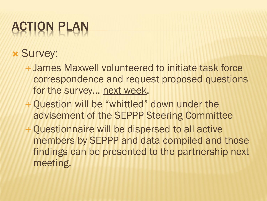# ACTION PLAN

### **x Survey:**

- James Maxwell volunteered to initiate task force correspondence and request proposed questions for the survey… next week.
- + Question will be "whittled" down under the advisement of the SEPPP Steering Committee
- Questionnaire will be dispersed to all active members by SEPPP and data compiled and those findings can be presented to the partnership next meeting.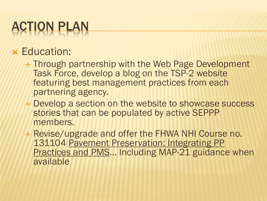# ACTION PLAN

### Education:

- Through partnership with the Web Page Development Task Force, develop a blog on the TSP-2 website featuring best management practices from each partnering agency.
- Develop a section on the website to showcase success stories that can be populated by active SEPPP members.
- + Revise/upgrade and offer the FHWA NHI Course no. 131104 Pavement Preservation: Integrating PP Practices and PMS... Including MAP-21 guidance when available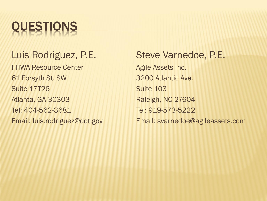

#### Luis Rodriguez, P.E.

FHWA Resource Center 61 Forsyth St. SW Suite 17T26 Atlanta, GA 30303 Tel: 404-562-3681 Email: luis.rodriguez@dot.gov

Steve Varnedoe, P.E. Agile Assets Inc. 3200 Atlantic Ave. Suite 103 Raleigh, NC 27604 Tel: 919-573-5222 Email: svarnedoe@agileassets.com